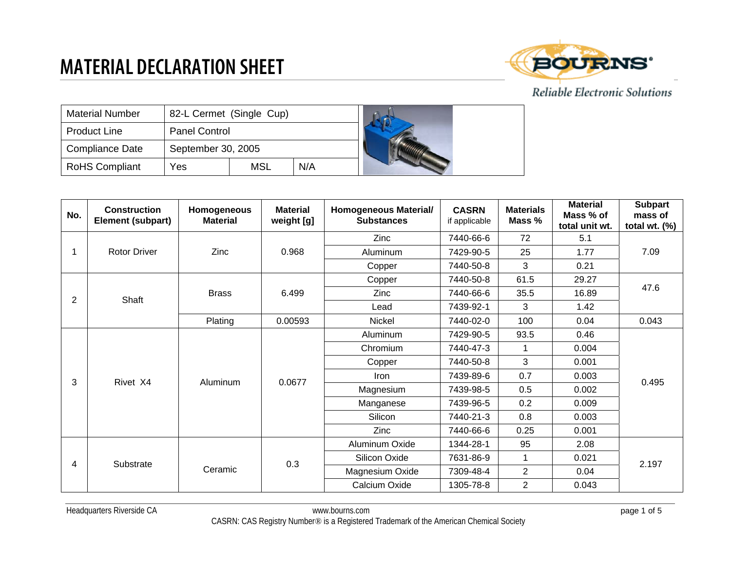

| <b>Material Number</b> | 82-L Cermet (Single Cup) |     |     |  |
|------------------------|--------------------------|-----|-----|--|
| <b>Product Line</b>    | <b>Panel Control</b>     |     |     |  |
| <b>Compliance Date</b> | September 30, 2005       |     |     |  |
| <b>RoHS Compliant</b>  | Yes                      | MSL | N/A |  |

| No. | <b>Construction</b><br>Element (subpart) | Homogeneous<br><b>Material</b> | <b>Material</b><br>weight [g] | Homogeneous Material/<br><b>Substances</b> | <b>CASRN</b><br>if applicable | <b>Materials</b><br>Mass % | <b>Material</b><br>Mass % of<br>total unit wt. | <b>Subpart</b><br>mass of<br>total wt. $(\%)$ |
|-----|------------------------------------------|--------------------------------|-------------------------------|--------------------------------------------|-------------------------------|----------------------------|------------------------------------------------|-----------------------------------------------|
|     |                                          |                                |                               | Zinc                                       | 7440-66-6                     | 72                         | 5.1                                            | 7.09                                          |
|     | <b>Rotor Driver</b>                      | Zinc                           | 0.968                         | Aluminum                                   | 7429-90-5                     | 25                         | 1.77                                           |                                               |
|     |                                          |                                |                               | Copper                                     | 7440-50-8                     | 3                          | 0.21                                           |                                               |
|     |                                          |                                |                               | Copper                                     | 7440-50-8                     | 61.5                       | 29.27                                          |                                               |
| 2   | Shaft                                    | <b>Brass</b>                   | 6.499                         | Zinc                                       | 7440-66-6                     | 35.5                       | 16.89                                          | 47.6                                          |
|     |                                          |                                |                               | Lead                                       | 7439-92-1                     | 3                          | 1.42                                           |                                               |
|     |                                          | Plating                        | 0.00593                       | <b>Nickel</b>                              | 7440-02-0                     | 100                        | 0.04                                           | 0.043                                         |
|     |                                          | Rivet X4<br>Aluminum           | 0.0677                        | Aluminum                                   | 7429-90-5                     | 93.5                       | 0.46                                           | 0.495                                         |
|     |                                          |                                |                               | Chromium                                   | 7440-47-3                     | 1                          | 0.004                                          |                                               |
|     |                                          |                                |                               | Copper                                     | 7440-50-8                     | 3                          | 0.001                                          |                                               |
| 3   |                                          |                                |                               | Iron                                       | 7439-89-6                     | 0.7                        | 0.003                                          |                                               |
|     |                                          |                                |                               | Magnesium                                  | 7439-98-5                     | 0.5                        | 0.002                                          |                                               |
|     |                                          |                                |                               | Manganese                                  | 7439-96-5                     | 0.2                        | 0.009                                          |                                               |
|     |                                          |                                |                               | Silicon                                    | 7440-21-3                     | 0.8                        | 0.003                                          |                                               |
|     |                                          |                                |                               | <b>Zinc</b>                                | 7440-66-6                     | 0.25                       | 0.001                                          |                                               |
|     |                                          |                                |                               | Aluminum Oxide                             | 1344-28-1                     | 95                         | 2.08                                           | 2.197                                         |
| 4   |                                          | 0.3<br>Substrate<br>Ceramic    |                               | Silicon Oxide                              | 7631-86-9                     | 1                          | 0.021                                          |                                               |
|     |                                          |                                |                               | Magnesium Oxide                            | 7309-48-4                     | $\overline{2}$             | 0.04                                           |                                               |
|     |                                          |                                |                               | Calcium Oxide                              | 1305-78-8                     | 2                          | 0.043                                          |                                               |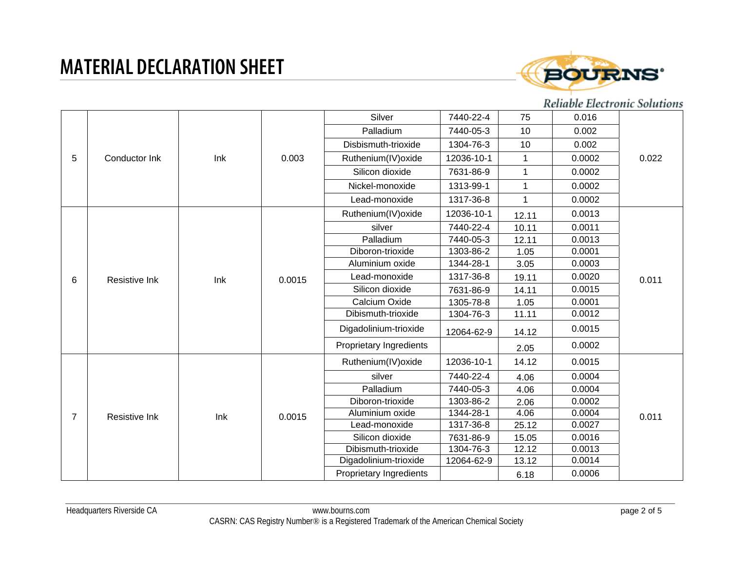

|   |               |     | 0.003  | Silver                  | 7440-22-4  | 75           | 0.016  |       |
|---|---------------|-----|--------|-------------------------|------------|--------------|--------|-------|
|   |               |     |        | Palladium               | 7440-05-3  | 10           | 0.002  |       |
|   |               |     |        | Disbismuth-trioxide     | 1304-76-3  | 10           | 0.002  | 0.022 |
| 5 | Conductor Ink | Ink |        | Ruthenium(IV) oxide     | 12036-10-1 | $\mathbf{1}$ | 0.0002 |       |
|   |               |     |        | Silicon dioxide         | 7631-86-9  | $\mathbf 1$  | 0.0002 |       |
|   |               |     |        | Nickel-monoxide         | 1313-99-1  |              | 0.0002 |       |
|   |               |     |        | Lead-monoxide           | 1317-36-8  | $\mathbf 1$  | 0.0002 |       |
|   |               |     |        | Ruthenium(IV) oxide     | 12036-10-1 | 12.11        | 0.0013 |       |
|   |               |     |        | silver                  | 7440-22-4  | 10.11        | 0.0011 |       |
|   |               |     |        | Palladium               | 7440-05-3  | 12.11        | 0.0013 |       |
|   | Resistive Ink | Ink | 0.0015 | Diboron-trioxide        | 1303-86-2  | 1.05         | 0.0001 | 0.011 |
| 6 |               |     |        | Aluminium oxide         | 1344-28-1  | 3.05         | 0.0003 |       |
|   |               |     |        | Lead-monoxide           | 1317-36-8  | 19.11        | 0.0020 |       |
|   |               |     |        | Silicon dioxide         | 7631-86-9  | 14.11        | 0.0015 |       |
|   |               |     |        | Calcium Oxide           | 1305-78-8  | 1.05         | 0.0001 |       |
|   |               |     |        | Dibismuth-trioxide      | 1304-76-3  | 11.11        | 0.0012 |       |
|   |               |     |        | Digadolinium-trioxide   | 12064-62-9 | 14.12        | 0.0015 |       |
|   |               |     |        | Proprietary Ingredients |            | 2.05         | 0.0002 |       |
|   |               |     |        | Ruthenium(IV) oxide     | 12036-10-1 | 14.12        | 0.0015 |       |
|   |               |     |        | silver                  | 7440-22-4  | 4.06         | 0.0004 |       |
|   |               |     |        | Palladium               | 7440-05-3  | 4.06         | 0.0004 |       |
|   |               |     |        | Diboron-trioxide        | 1303-86-2  | 2.06         | 0.0002 | 0.011 |
| 7 | Resistive Ink | Ink | 0.0015 | Aluminium oxide         | 1344-28-1  | 4.06         | 0.0004 |       |
|   |               |     |        | Lead-monoxide           | 1317-36-8  | 25.12        | 0.0027 |       |
|   |               |     |        | Silicon dioxide         | 7631-86-9  | 15.05        | 0.0016 |       |
|   |               |     |        | Dibismuth-trioxide      | 1304-76-3  | 12.12        | 0.0013 |       |
|   |               |     |        | Digadolinium-trioxide   | 12064-62-9 | 13.12        | 0.0014 |       |
|   |               |     |        | Proprietary Ingredients |            | 6.18         | 0.0006 |       |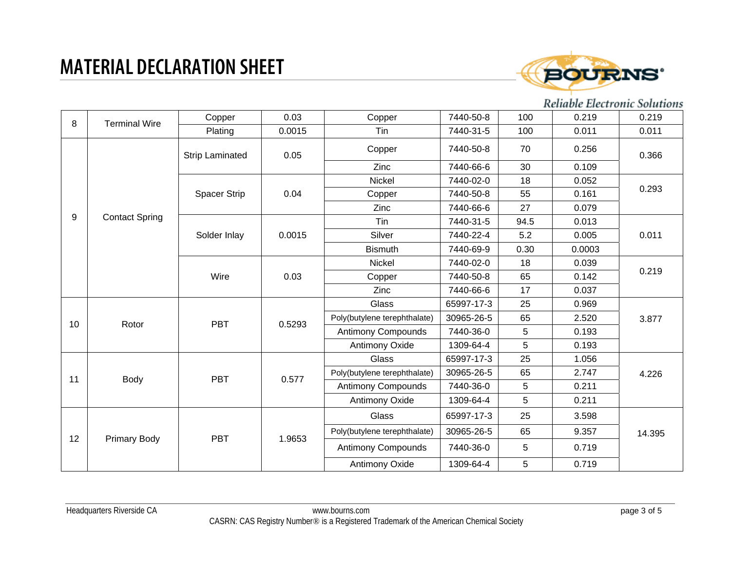

| 8     | <b>Terminal Wire</b>  | Copper                 | 0.03                 | Copper                       | 7440-50-8  | 100  | 0.219  | 0.219  |
|-------|-----------------------|------------------------|----------------------|------------------------------|------------|------|--------|--------|
|       |                       | Plating                | 0.0015               | Tin                          | 7440-31-5  | 100  | 0.011  | 0.011  |
|       |                       | <b>Strip Laminated</b> | 0.05                 | Copper                       | 7440-50-8  | 70   | 0.256  | 0.366  |
|       |                       |                        |                      | Zinc                         | 7440-66-6  | 30   | 0.109  |        |
|       |                       |                        |                      | Nickel                       | 7440-02-0  | 18   | 0.052  |        |
|       |                       | Spacer Strip           | 0.04                 | Copper                       | 7440-50-8  | 55   | 0.161  | 0.293  |
|       |                       |                        |                      | Zinc                         | 7440-66-6  | 27   | 0.079  |        |
| $9\,$ | <b>Contact Spring</b> |                        |                      | Tin                          | 7440-31-5  | 94.5 | 0.013  |        |
|       |                       | Solder Inlay           | 0.0015               | Silver                       | 7440-22-4  | 5.2  | 0.005  | 0.011  |
|       |                       |                        |                      | <b>Bismuth</b>               | 7440-69-9  | 0.30 | 0.0003 |        |
|       |                       | Wire                   | 0.03                 | Nickel                       | 7440-02-0  | 18   | 0.039  |        |
|       |                       |                        |                      | Copper                       | 7440-50-8  | 65   | 0.142  | 0.219  |
|       |                       |                        |                      | Zinc                         | 7440-66-6  | 17   | 0.037  |        |
|       | Rotor                 | <b>PBT</b>             | 0.5293               | Glass                        | 65997-17-3 | 25   | 0.969  | 3.877  |
| 10    |                       |                        |                      | Poly(butylene terephthalate) | 30965-26-5 | 65   | 2.520  |        |
|       |                       |                        |                      | <b>Antimony Compounds</b>    | 7440-36-0  | 5    | 0.193  |        |
|       |                       |                        |                      | <b>Antimony Oxide</b>        | 1309-64-4  | 5    | 0.193  |        |
|       |                       | <b>PBT</b>             | 0.577                | Glass                        | 65997-17-3 | 25   | 1.056  |        |
| 11    | Body                  |                        |                      | Poly(butylene terephthalate) | 30965-26-5 | 65   | 2.747  | 4.226  |
|       |                       |                        |                      | <b>Antimony Compounds</b>    | 7440-36-0  | 5    | 0.211  |        |
|       |                       |                        |                      | Antimony Oxide               | 1309-64-4  | 5    | 0.211  |        |
| 12    |                       |                        | <b>PBT</b><br>1.9653 | Glass                        | 65997-17-3 | 25   | 3.598  |        |
|       |                       |                        |                      | Poly(butylene terephthalate) | 30965-26-5 | 65   | 9.357  | 14.395 |
|       | <b>Primary Body</b>   |                        |                      | <b>Antimony Compounds</b>    | 7440-36-0  | 5    | 0.719  |        |
|       |                       |                        |                      | Antimony Oxide               | 1309-64-4  | 5    | 0.719  |        |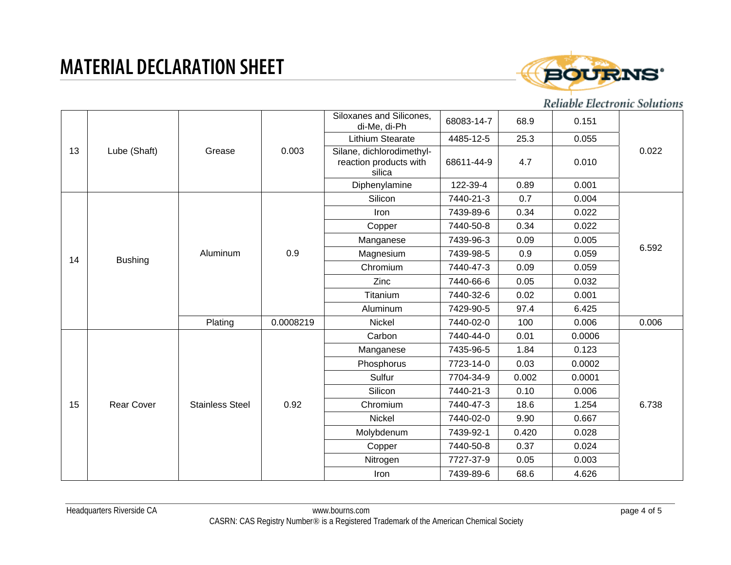

| 13 | Lube (Shaft)      | Grease                 | 0.003     | Siloxanes and Silicones,<br>di-Me, di-Ph                      | 68083-14-7 | 68.9  | 0.151  | 0.022 |
|----|-------------------|------------------------|-----------|---------------------------------------------------------------|------------|-------|--------|-------|
|    |                   |                        |           | Lithium Stearate                                              | 4485-12-5  | 25.3  | 0.055  |       |
|    |                   |                        |           | Silane, dichlorodimethyl-<br>reaction products with<br>silica | 68611-44-9 | 4.7   | 0.010  |       |
|    |                   |                        |           | Diphenylamine                                                 | 122-39-4   | 0.89  | 0.001  |       |
|    |                   |                        |           | Silicon                                                       | 7440-21-3  | 0.7   | 0.004  |       |
|    |                   |                        |           | Iron                                                          | 7439-89-6  | 0.34  | 0.022  |       |
|    |                   |                        |           | Copper                                                        | 7440-50-8  | 0.34  | 0.022  |       |
|    |                   |                        |           | Manganese                                                     | 7439-96-3  | 0.09  | 0.005  |       |
| 14 | <b>Bushing</b>    | Aluminum               | 0.9       | Magnesium                                                     | 7439-98-5  | 0.9   | 0.059  | 6.592 |
|    |                   |                        |           | Chromium                                                      | 7440-47-3  | 0.09  | 0.059  |       |
|    |                   |                        |           | Zinc                                                          | 7440-66-6  | 0.05  | 0.032  |       |
|    |                   |                        |           | Titanium                                                      | 7440-32-6  | 0.02  | 0.001  |       |
|    |                   |                        |           | Aluminum                                                      | 7429-90-5  | 97.4  | 6.425  |       |
|    |                   | Plating                | 0.0008219 | Nickel                                                        | 7440-02-0  | 100   | 0.006  | 0.006 |
|    |                   |                        |           | Carbon                                                        | 7440-44-0  | 0.01  | 0.0006 |       |
|    |                   |                        |           | Manganese                                                     | 7435-96-5  | 1.84  | 0.123  |       |
|    |                   |                        |           | Phosphorus                                                    | 7723-14-0  | 0.03  | 0.0002 |       |
|    |                   |                        |           | Sulfur                                                        | 7704-34-9  | 0.002 | 0.0001 |       |
|    |                   |                        |           | Silicon                                                       | 7440-21-3  | 0.10  | 0.006  | 6.738 |
| 15 | <b>Rear Cover</b> | <b>Stainless Steel</b> | 0.92      | Chromium                                                      | 7440-47-3  | 18.6  | 1.254  |       |
|    |                   |                        |           | Nickel                                                        | 7440-02-0  | 9.90  | 0.667  |       |
|    |                   |                        |           | Molybdenum                                                    | 7439-92-1  | 0.420 | 0.028  |       |
|    |                   |                        |           | Copper                                                        | 7440-50-8  | 0.37  | 0.024  |       |
|    |                   |                        |           | Nitrogen                                                      | 7727-37-9  | 0.05  | 0.003  |       |
|    |                   |                        |           | Iron                                                          | 7439-89-6  | 68.6  | 4.626  |       |